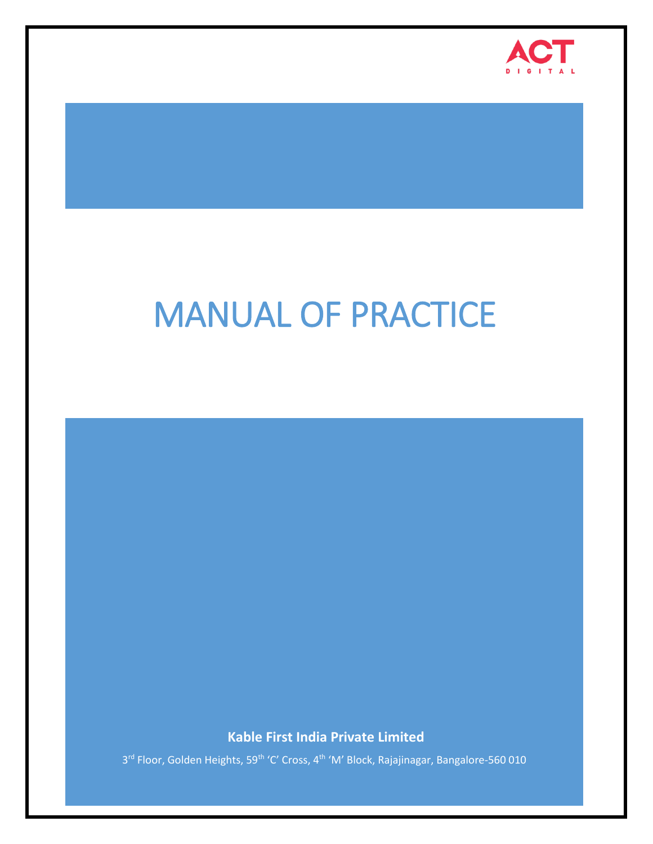

# MANUAL OF PRACTICE

**Kable First India Private Limited**

3<sup>rd</sup> Floor, Golden Heights, 59<sup>th</sup> 'C' Cross, 4<sup>th</sup> 'M' Block, Rajajinagar, Bangalore-560 010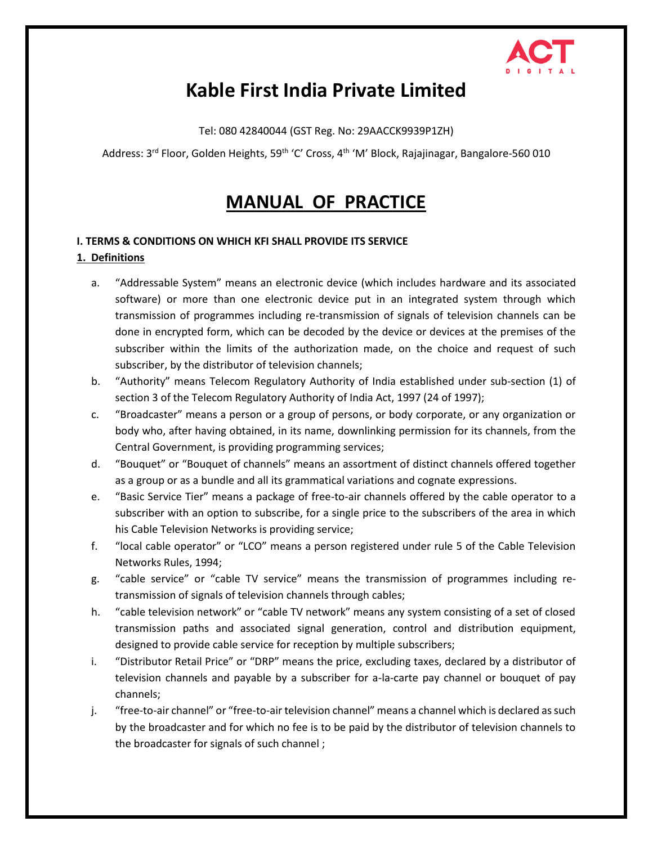

# **Kable First India Private Limited**

Tel: 080 42840044 (GST Reg. No: 29AACCK9939P1ZH)

Address: 3<sup>rd</sup> Floor, Golden Heights, 59<sup>th</sup> 'C' Cross, 4<sup>th</sup> 'M' Block, Rajajinagar, Bangalore-560 010

# **MANUAL OF PRACTICE**

# **I. TERMS & CONDITIONS ON WHICH KFI SHALL PROVIDE ITS SERVICE 1. Definitions**

- a. "Addressable System" means an electronic device (which includes hardware and its associated software) or more than one electronic device put in an integrated system through which transmission of programmes including re-transmission of signals of television channels can be done in encrypted form, which can be decoded by the device or devices at the premises of the subscriber within the limits of the authorization made, on the choice and request of such subscriber, by the distributor of television channels;
- b. "Authority" means Telecom Regulatory Authority of India established under sub-section (1) of section 3 of the Telecom Regulatory Authority of India Act, 1997 (24 of 1997);
- c. "Broadcaster" means a person or a group of persons, or body corporate, or any organization or body who, after having obtained, in its name, downlinking permission for its channels, from the Central Government, is providing programming services;
- d. "Bouquet" or "Bouquet of channels" means an assortment of distinct channels offered together as a group or as a bundle and all its grammatical variations and cognate expressions.
- e. "Basic Service Tier" means a package of free-to-air channels offered by the cable operator to a subscriber with an option to subscribe, for a single price to the subscribers of the area in which his Cable Television Networks is providing service;
- f. "local cable operator" or "LCO" means a person registered under rule 5 of the Cable Television Networks Rules, 1994;
- g. "cable service" or "cable TV service" means the transmission of programmes including retransmission of signals of television channels through cables;
- h. "cable television network" or "cable TV network" means any system consisting of a set of closed transmission paths and associated signal generation, control and distribution equipment, designed to provide cable service for reception by multiple subscribers;
- i. "Distributor Retail Price" or "DRP" means the price, excluding taxes, declared by a distributor of television channels and payable by a subscriber for a-la-carte pay channel or bouquet of pay channels;
- j. "free-to-air channel" or "free-to-air television channel" means a channel which is declared as such by the broadcaster and for which no fee is to be paid by the distributor of television channels to the broadcaster for signals of such channel ;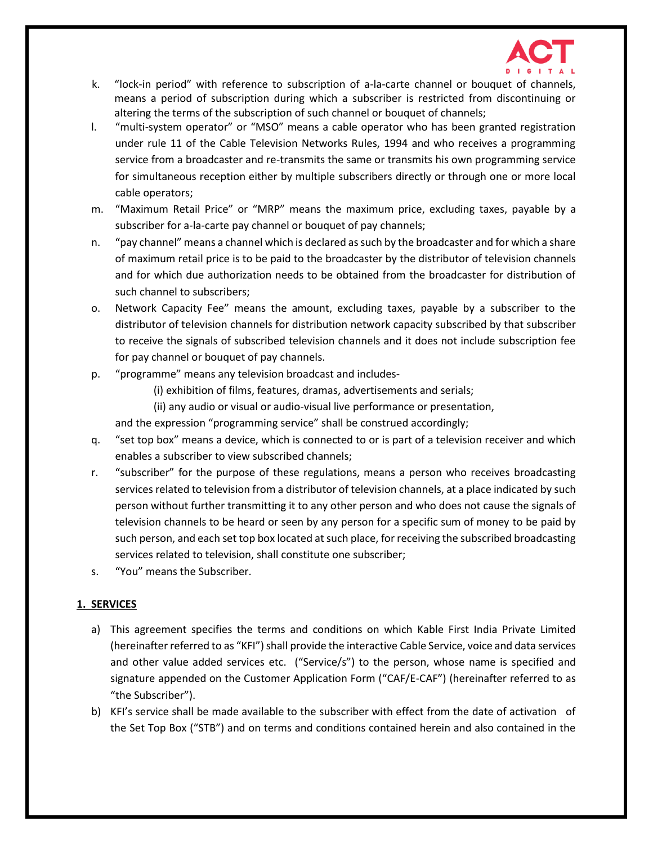

- k. "lock-in period" with reference to subscription of a-la-carte channel or bouquet of channels, means a period of subscription during which a subscriber is restricted from discontinuing or altering the terms of the subscription of such channel or bouquet of channels;
- l. "multi-system operator" or "MSO" means a cable operator who has been granted registration under rule 11 of the Cable Television Networks Rules, 1994 and who receives a programming service from a broadcaster and re-transmits the same or transmits his own programming service for simultaneous reception either by multiple subscribers directly or through one or more local cable operators;
- m. "Maximum Retail Price" or "MRP" means the maximum price, excluding taxes, payable by a subscriber for a-la-carte pay channel or bouquet of pay channels;
- n. "pay channel" means a channel which is declared as such by the broadcaster and for which a share of maximum retail price is to be paid to the broadcaster by the distributor of television channels and for which due authorization needs to be obtained from the broadcaster for distribution of such channel to subscribers;
- o. Network Capacity Fee" means the amount, excluding taxes, payable by a subscriber to the distributor of television channels for distribution network capacity subscribed by that subscriber to receive the signals of subscribed television channels and it does not include subscription fee for pay channel or bouquet of pay channels.
- p. "programme" means any television broadcast and includes-
	- (i) exhibition of films, features, dramas, advertisements and serials;
	- (ii) any audio or visual or audio-visual live performance or presentation,

and the expression "programming service" shall be construed accordingly;

- q. "set top box" means a device, which is connected to or is part of a television receiver and which enables a subscriber to view subscribed channels;
- r. "subscriber" for the purpose of these regulations, means a person who receives broadcasting services related to television from a distributor of television channels, at a place indicated by such person without further transmitting it to any other person and who does not cause the signals of television channels to be heard or seen by any person for a specific sum of money to be paid by such person, and each set top box located at such place, for receiving the subscribed broadcasting services related to television, shall constitute one subscriber;
- s. "You" means the Subscriber.

# **1. SERVICES**

- a) This agreement specifies the terms and conditions on which Kable First India Private Limited (hereinafter referred to as "KFI") shall provide the interactive Cable Service, voice and data services and other value added services etc. ("Service/s") to the person, whose name is specified and signature appended on the Customer Application Form ("CAF/E-CAF") (hereinafter referred to as "the Subscriber").
- b) KFI's service shall be made available to the subscriber with effect from the date of activation of the Set Top Box ("STB") and on terms and conditions contained herein and also contained in the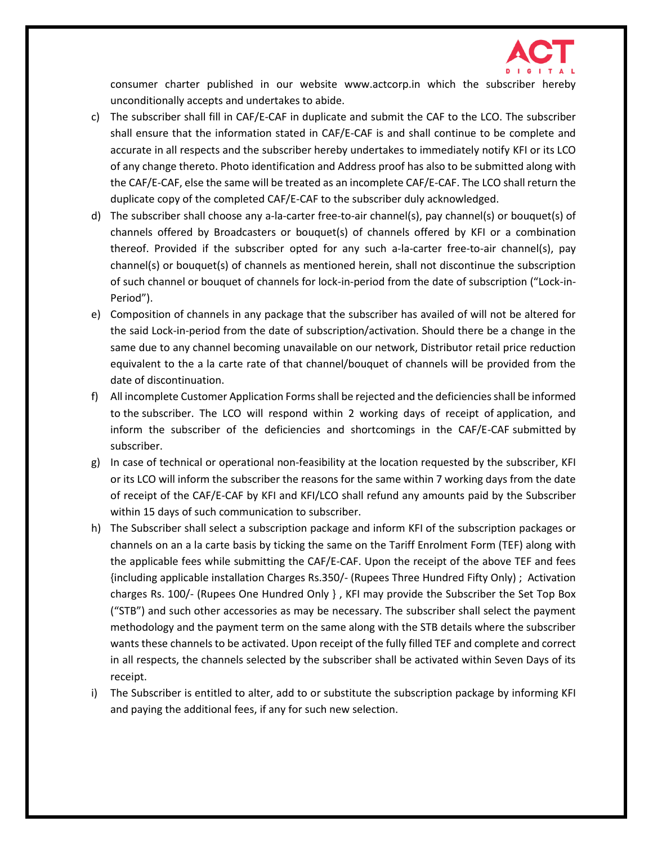

consumer charter published in our website www.actcorp.in which the subscriber hereby unconditionally accepts and undertakes to abide.

- c) The subscriber shall fill in CAF/E-CAF in duplicate and submit the CAF to the LCO. The subscriber shall ensure that the information stated in CAF/E-CAF is and shall continue to be complete and accurate in all respects and the subscriber hereby undertakes to immediately notify KFI or its LCO of any change thereto. Photo identification and Address proof has also to be submitted along with the CAF/E-CAF, else the same will be treated as an incomplete CAF/E-CAF. The LCO shall return the duplicate copy of the completed CAF/E-CAF to the subscriber duly acknowledged.
- d) The subscriber shall choose any a-la-carter free-to-air channel(s), pay channel(s) or bouquet(s) of channels offered by Broadcasters or bouquet(s) of channels offered by KFI or a combination thereof. Provided if the subscriber opted for any such a-la-carter free-to-air channel(s), pay channel(s) or bouquet(s) of channels as mentioned herein, shall not discontinue the subscription of such channel or bouquet of channels for lock-in-period from the date of subscription ("Lock-in-Period").
- e) Composition of channels in any package that the subscriber has availed of will not be altered for the said Lock-in-period from the date of subscription/activation. Should there be a change in the same due to any channel becoming unavailable on our network, Distributor retail price reduction equivalent to the a la carte rate of that channel/bouquet of channels will be provided from the date of discontinuation.
- f) All incomplete Customer Application Forms shall be rejected and the deficiencies shall be informed to the subscriber. The LCO will respond within 2 working days of receipt of application, and inform the subscriber of the deficiencies and shortcomings in the CAF/E-CAF submitted by subscriber.
- g) In case of technical or operational non-feasibility at the location requested by the subscriber, KFI or its LCO will inform the subscriber the reasons for the same within 7 working days from the date of receipt of the CAF/E-CAF by KFI and KFI/LCO shall refund any amounts paid by the Subscriber within 15 days of such communication to subscriber.
- h) The Subscriber shall select a subscription package and inform KFI of the subscription packages or channels on an a la carte basis by ticking the same on the Tariff Enrolment Form (TEF) along with the applicable fees while submitting the CAF/E-CAF. Upon the receipt of the above TEF and fees {including applicable installation Charges Rs.350/- (Rupees Three Hundred Fifty Only) ; Activation charges Rs. 100/- (Rupees One Hundred Only } , KFI may provide the Subscriber the Set Top Box ("STB") and such other accessories as may be necessary. The subscriber shall select the payment methodology and the payment term on the same along with the STB details where the subscriber wants these channels to be activated. Upon receipt of the fully filled TEF and complete and correct in all respects, the channels selected by the subscriber shall be activated within Seven Days of its receipt.
- i) The Subscriber is entitled to alter, add to or substitute the subscription package by informing KFI and paying the additional fees, if any for such new selection.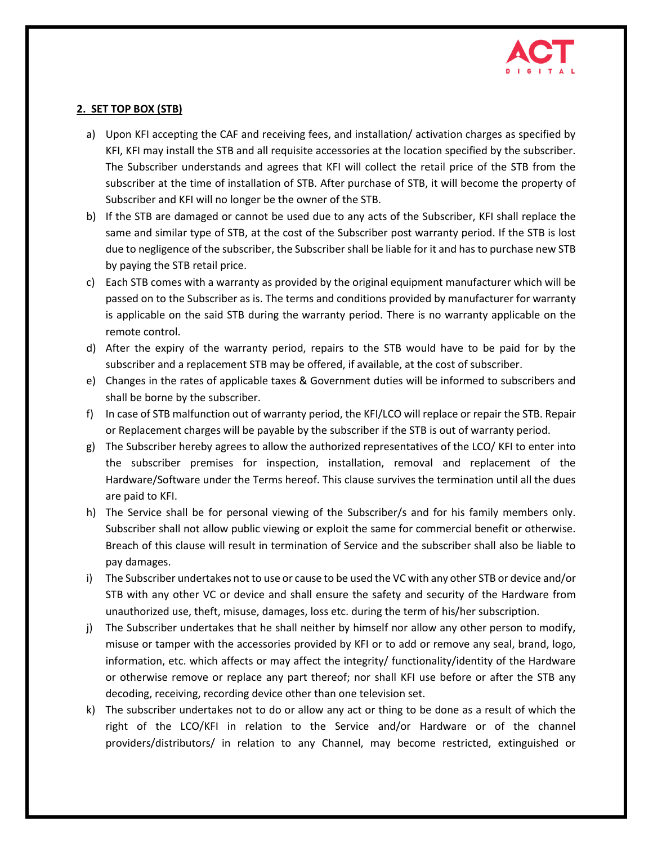

# **2. SET TOP BOX (STB)**

- a) Upon KFI accepting the CAF and receiving fees, and installation/ activation charges as specified by KFI, KFI may install the STB and all requisite accessories at the location specified by the subscriber. The Subscriber understands and agrees that KFI will collect the retail price of the STB from the subscriber at the time of installation of STB. After purchase of STB, it will become the property of Subscriber and KFI will no longer be the owner of the STB.
- b) If the STB are damaged or cannot be used due to any acts of the Subscriber, KFI shall replace the same and similar type of STB, at the cost of the Subscriber post warranty period. If the STB is lost due to negligence of the subscriber, the Subscriber shall be liable for it and has to purchase new STB by paying the STB retail price.
- c) Each STB comes with a warranty as provided by the original equipment manufacturer which will be passed on to the Subscriber as is. The terms and conditions provided by manufacturer for warranty is applicable on the said STB during the warranty period. There is no warranty applicable on the remote control.
- d) After the expiry of the warranty period, repairs to the STB would have to be paid for by the subscriber and a replacement STB may be offered, if available, at the cost of subscriber.
- e) Changes in the rates of applicable taxes & Government duties will be informed to subscribers and shall be borne by the subscriber.
- f) In case of STB malfunction out of warranty period, the KFI/LCO will replace or repair the STB. Repair or Replacement charges will be payable by the subscriber if the STB is out of warranty period.
- g) The Subscriber hereby agrees to allow the authorized representatives of the LCO/ KFI to enter into the subscriber premises for inspection, installation, removal and replacement of the Hardware/Software under the Terms hereof. This clause survives the termination until all the dues are paid to KFI.
- h) The Service shall be for personal viewing of the Subscriber/s and for his family members only. Subscriber shall not allow public viewing or exploit the same for commercial benefit or otherwise. Breach of this clause will result in termination of Service and the subscriber shall also be liable to pay damages.
- i) The Subscriber undertakes not to use or cause to be used the VC with any other STB or device and/or STB with any other VC or device and shall ensure the safety and security of the Hardware from unauthorized use, theft, misuse, damages, loss etc. during the term of his/her subscription.
- j) The Subscriber undertakes that he shall neither by himself nor allow any other person to modify, misuse or tamper with the accessories provided by KFI or to add or remove any seal, brand, logo, information, etc. which affects or may affect the integrity/ functionality/identity of the Hardware or otherwise remove or replace any part thereof; nor shall KFI use before or after the STB any decoding, receiving, recording device other than one television set.
- k) The subscriber undertakes not to do or allow any act or thing to be done as a result of which the right of the LCO/KFI in relation to the Service and/or Hardware or of the channel providers/distributors/ in relation to any Channel, may become restricted, extinguished or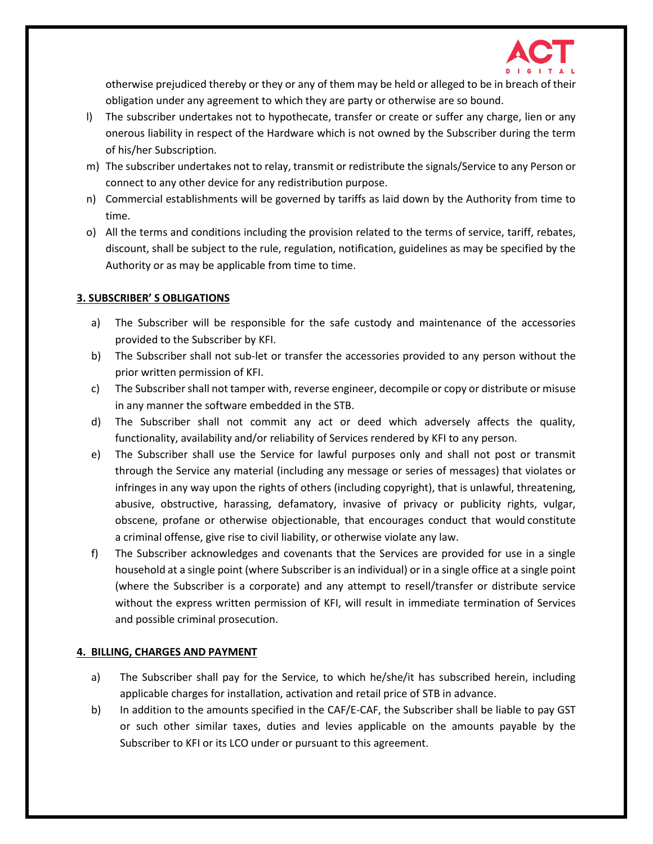

otherwise prejudiced thereby or they or any of them may be held or alleged to be in breach of their obligation under any agreement to which they are party or otherwise are so bound.

- l) The subscriber undertakes not to hypothecate, transfer or create or suffer any charge, lien or any onerous liability in respect of the Hardware which is not owned by the Subscriber during the term of his/her Subscription.
- m) The subscriber undertakes not to relay, transmit or redistribute the signals/Service to any Person or connect to any other device for any redistribution purpose.
- n) Commercial establishments will be governed by tariffs as laid down by the Authority from time to time.
- o) All the terms and conditions including the provision related to the terms of service, tariff, rebates, discount, shall be subject to the rule, regulation, notification, guidelines as may be specified by the Authority or as may be applicable from time to time.

# **3. SUBSCRIBER' S OBLIGATIONS**

- a) The Subscriber will be responsible for the safe custody and maintenance of the accessories provided to the Subscriber by KFI.
- b) The Subscriber shall not sub-let or transfer the accessories provided to any person without the prior written permission of KFI.
- c) The Subscriber shall not tamper with, reverse engineer, decompile or copy or distribute or misuse in any manner the software embedded in the STB.
- d) The Subscriber shall not commit any act or deed which adversely affects the quality, functionality, availability and/or reliability of Services rendered by KFI to any person.
- e) The Subscriber shall use the Service for lawful purposes only and shall not post or transmit through the Service any material (including any message or series of messages) that violates or infringes in any way upon the rights of others (including copyright), that is unlawful, threatening, abusive, obstructive, harassing, defamatory, invasive of privacy or publicity rights, vulgar, obscene, profane or otherwise objectionable, that encourages conduct that would constitute a criminal offense, give rise to civil liability, or otherwise violate any law.
- f) The Subscriber acknowledges and covenants that the Services are provided for use in a single household at a single point (where Subscriber is an individual) or in a single office at a single point (where the Subscriber is a corporate) and any attempt to resell/transfer or distribute service without the express written permission of KFI, will result in immediate termination of Services and possible criminal prosecution.

#### **4. BILLING, CHARGES AND PAYMENT**

- a) The Subscriber shall pay for the Service, to which he/she/it has subscribed herein, including applicable charges for installation, activation and retail price of STB in advance.
- b) In addition to the amounts specified in the CAF/E-CAF, the Subscriber shall be liable to pay GST or such other similar taxes, duties and levies applicable on the amounts payable by the Subscriber to KFI or its LCO under or pursuant to this agreement.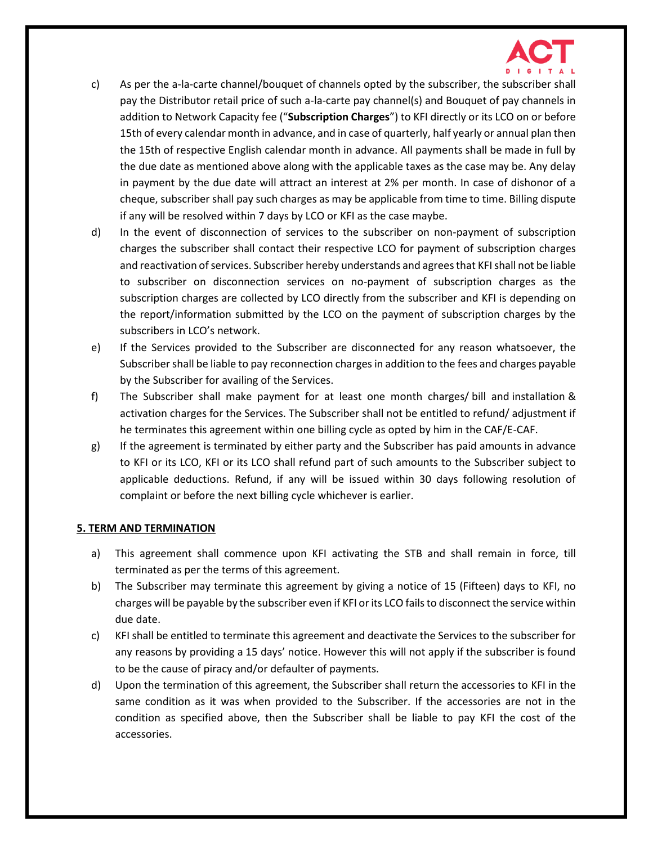

- c) As per the a-la-carte channel/bouquet of channels opted by the subscriber, the subscriber shall pay the Distributor retail price of such a-la-carte pay channel(s) and Bouquet of pay channels in addition to Network Capacity fee ("**Subscription Charges**") to KFI directly or its LCO on or before 15th of every calendar month in advance, and in case of quarterly, half yearly or annual plan then the 15th of respective English calendar month in advance. All payments shall be made in full by the due date as mentioned above along with the applicable taxes as the case may be. Any delay in payment by the due date will attract an interest at 2% per month. In case of dishonor of a cheque, subscriber shall pay such charges as may be applicable from time to time. Billing dispute if any will be resolved within 7 days by LCO or KFI as the case maybe.
- d) In the event of disconnection of services to the subscriber on non-payment of subscription charges the subscriber shall contact their respective LCO for payment of subscription charges and reactivation of services. Subscriber hereby understands and agrees that KFI shall not be liable to subscriber on disconnection services on no-payment of subscription charges as the subscription charges are collected by LCO directly from the subscriber and KFI is depending on the report/information submitted by the LCO on the payment of subscription charges by the subscribers in LCO's network.
- e) If the Services provided to the Subscriber are disconnected for any reason whatsoever, the Subscriber shall be liable to pay reconnection charges in addition to the fees and charges payable by the Subscriber for availing of the Services.
- f) The Subscriber shall make payment for at least one month charges/ bill and installation & activation charges for the Services. The Subscriber shall not be entitled to refund/ adjustment if he terminates this agreement within one billing cycle as opted by him in the CAF/E-CAF.
- g) If the agreement is terminated by either party and the Subscriber has paid amounts in advance to KFI or its LCO, KFI or its LCO shall refund part of such amounts to the Subscriber subject to applicable deductions. Refund, if any will be issued within 30 days following resolution of complaint or before the next billing cycle whichever is earlier.

#### **5. TERM AND TERMINATION**

- a) This agreement shall commence upon KFI activating the STB and shall remain in force, till terminated as per the terms of this agreement.
- b) The Subscriber may terminate this agreement by giving a notice of 15 (Fifteen) days to KFI, no charges will be payable by the subscriber even if KFI or its LCO fails to disconnect the service within due date.
- c) KFI shall be entitled to terminate this agreement and deactivate the Services to the subscriber for any reasons by providing a 15 days' notice. However this will not apply if the subscriber is found to be the cause of piracy and/or defaulter of payments.
- d) Upon the termination of this agreement, the Subscriber shall return the accessories to KFI in the same condition as it was when provided to the Subscriber. If the accessories are not in the condition as specified above, then the Subscriber shall be liable to pay KFI the cost of the accessories.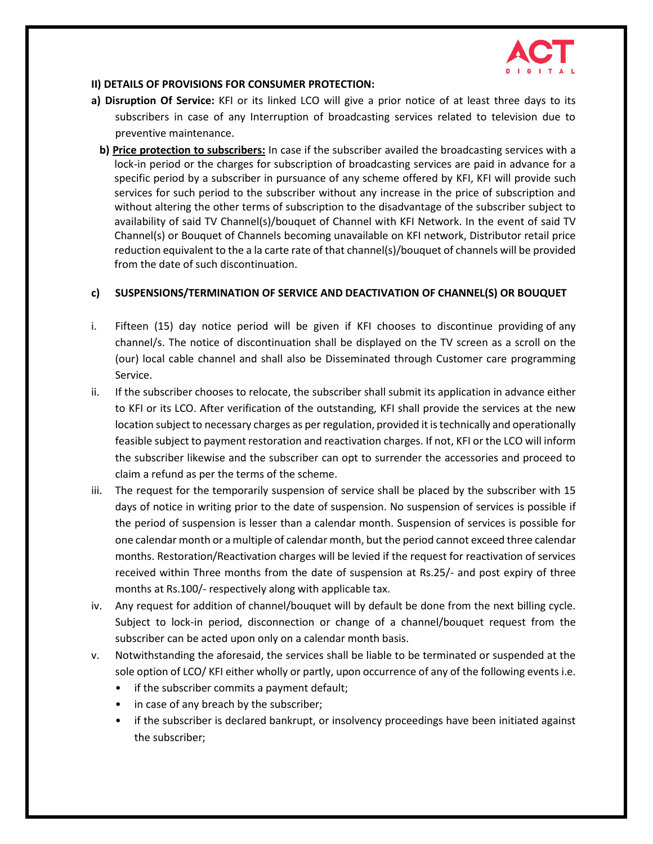

#### **II) DETAILS OF PROVISIONS FOR CONSUMER PROTECTION:**

- **a) Disruption Of Service:** KFI or its linked LCO will give a prior notice of at least three days to its subscribers in case of any Interruption of broadcasting services related to television due to preventive maintenance.
- **b) Price protection to subscribers:** In case if the subscriber availed the broadcasting services with a lock-in period or the charges for subscription of broadcasting services are paid in advance for a specific period by a subscriber in pursuance of any scheme offered by KFI, KFI will provide such services for such period to the subscriber without any increase in the price of subscription and without altering the other terms of subscription to the disadvantage of the subscriber subject to availability of said TV Channel(s)/bouquet of Channel with KFI Network. In the event of said TV Channel(s) or Bouquet of Channels becoming unavailable on KFI network, Distributor retail price reduction equivalent to the a la carte rate of that channel(s)/bouquet of channels will be provided from the date of such discontinuation.

# **c) SUSPENSIONS/TERMINATION OF SERVICE AND DEACTIVATION OF CHANNEL(S) OR BOUQUET**

- i. Fifteen (15) day notice period will be given if KFI chooses to discontinue providing of any channel/s. The notice of discontinuation shall be displayed on the TV screen as a scroll on the (our) local cable channel and shall also be Disseminated through Customer care programming Service.
- ii. If the subscriber chooses to relocate, the subscriber shall submit its application in advance either to KFI or its LCO. After verification of the outstanding, KFI shall provide the services at the new location subject to necessary charges as per regulation, provided it is technically and operationally feasible subject to payment restoration and reactivation charges. If not, KFI or the LCO will inform the subscriber likewise and the subscriber can opt to surrender the accessories and proceed to claim a refund as per the terms of the scheme.
- iii. The request for the temporarily suspension of service shall be placed by the subscriber with 15 days of notice in writing prior to the date of suspension. No suspension of services is possible if the period of suspension is lesser than a calendar month. Suspension of services is possible for one calendar month or a multiple of calendar month, but the period cannot exceed three calendar months. Restoration/Reactivation charges will be levied if the request for reactivation of services received within Three months from the date of suspension at Rs.25/- and post expiry of three months at Rs.100/- respectively along with applicable tax.
- iv. Any request for addition of channel/bouquet will by default be done from the next billing cycle. Subject to lock-in period, disconnection or change of a channel/bouquet request from the subscriber can be acted upon only on a calendar month basis.
- v. Notwithstanding the aforesaid, the services shall be liable to be terminated or suspended at the sole option of LCO/ KFI either wholly or partly, upon occurrence of any of the following events i.e.
	- if the subscriber commits a payment default;
	- in case of any breach by the subscriber;
	- if the subscriber is declared bankrupt, or insolvency proceedings have been initiated against the subscriber;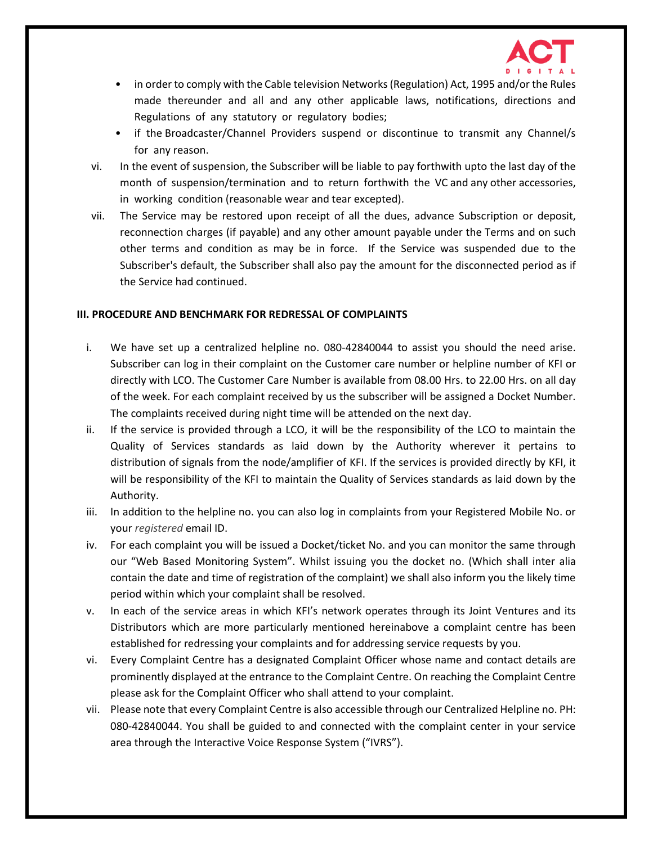

- in order to comply with the Cable television Networks (Regulation) Act, 1995 and/or the Rules made thereunder and all and any other applicable laws, notifications, directions and Regulations of any statutory or regulatory bodies;
- if the Broadcaster/Channel Providers suspend or discontinue to transmit any Channel/s for any reason.
- vi. In the event of suspension, the Subscriber will be liable to pay forthwith upto the last day of the month of suspension/termination and to return forthwith the VC and any other accessories, in working condition (reasonable wear and tear excepted).
- vii. The Service may be restored upon receipt of all the dues, advance Subscription or deposit, reconnection charges (if payable) and any other amount payable under the Terms and on such other terms and condition as may be in force. If the Service was suspended due to the Subscriber's default, the Subscriber shall also pay the amount for the disconnected period as if the Service had continued.

#### **III. PROCEDURE AND BENCHMARK FOR REDRESSAL OF COMPLAINTS**

- i. We have set up a centralized helpline no. 080-42840044 to assist you should the need arise. Subscriber can log in their complaint on the Customer care number or helpline number of KFI or directly with LCO. The Customer Care Number is available from 08.00 Hrs. to 22.00 Hrs. on all day of the week. For each complaint received by us the subscriber will be assigned a Docket Number. The complaints received during night time will be attended on the next day.
- ii. If the service is provided through a LCO, it will be the responsibility of the LCO to maintain the Quality of Services standards as laid down by the Authority wherever it pertains to distribution of signals from the node/amplifier of KFI. If the services is provided directly by KFI, it will be responsibility of the KFI to maintain the Quality of Services standards as laid down by the Authority.
- iii. In addition to the helpline no. you can also log in complaints from your Registered Mobile No. or your *registered* email ID.
- iv. For each complaint you will be issued a Docket/ticket No. and you can monitor the same through our "Web Based Monitoring System". Whilst issuing you the docket no. (Which shall inter alia contain the date and time of registration of the complaint) we shall also inform you the likely time period within which your complaint shall be resolved.
- v. In each of the service areas in which KFI's network operates through its Joint Ventures and its Distributors which are more particularly mentioned hereinabove a complaint centre has been established for redressing your complaints and for addressing service requests by you.
- vi. Every Complaint Centre has a designated Complaint Officer whose name and contact details are prominently displayed at the entrance to the Complaint Centre. On reaching the Complaint Centre please ask for the Complaint Officer who shall attend to your complaint.
- vii. Please note that every Complaint Centre is also accessible through our Centralized Helpline no. PH: 080-42840044. You shall be guided to and connected with the complaint center in your service area through the Interactive Voice Response System ("IVRS").